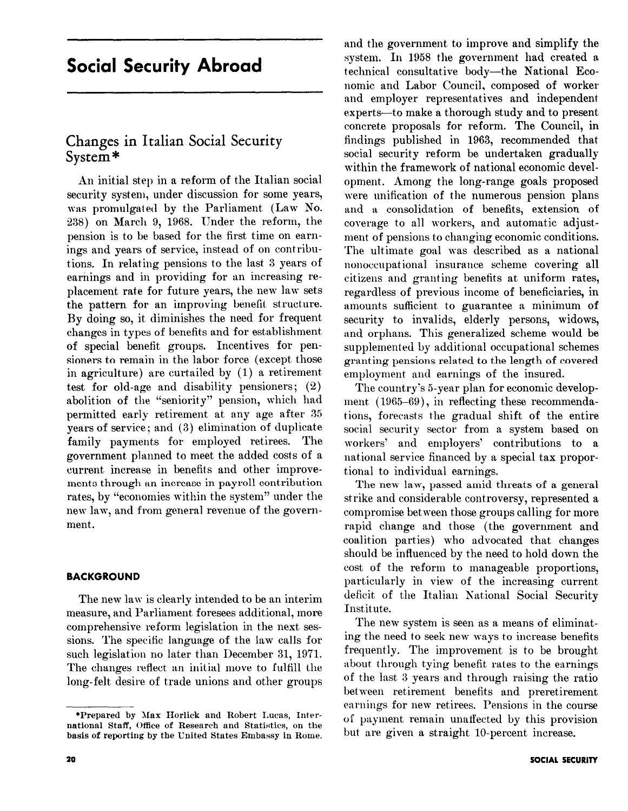# Social Security Abroad

# Changes in Italian Social Security System \*

An initial step in a reform of the Italian social security system, under discussion for some years, was promulgated by the Parliament (Law No. 238) on March 9, 1968. Under the reform, the pension is to be based for the first time on earnings and years of service, instead of on contributions. In relating pensions to the last 3 years of earnings and in providing for an increasing replacement rate for future years, the new law sets the pattern for an improving benefit structure. By doing so, it diminishes the need for frequent changes in types of benefits and for establishment of special benefit groups. Incentives for pensioners to remain in the labor force (except those in agriculture) are curtailed by (1) a retirement test for old-age and disability pensioners; (2) abolition of the "seniority" pension, which had permitted early retirement at any age after 35 years of service ; and (3) elimination of duplicate family payments for employed retirees. The government planned to meet the added costs of a current increase in benefits and other improvements through an increase in payroll contribution rates, by "economies within the system" under the new law, and from general revenue of the government.

# BACKGROUND

The new law is clearly intended to be an interim measure, and Parliament foresees additional, more comprehensive reform legislation in the next sessions. The specific language of the law calls for such legislation no later than December 31, 1971. The changes reflect an initial move to fulfill the long-felt desire of trade unions and other groups and the government to improve and simplify the system. In 1958 the gorermnent had created a technical consultative body-the National Economic and Labor Council, composed of worker and employer representatives and independent experts-to make a thorough study and to present concrete proposals for reform. The Council, in findings published in 1963, recommended that social security reform be undertaken gradually within the framework of national economic development. Among the long-range goals proposed were unification of the numerous pension plans and a consolidation of benefits, extension of coverage to all workers, and automatic adjustment of pensions to changing economic conditions. The ultimate goal was described as a national nonoccupational insurance scheme covering all citizens and granting benefits at uniform rates, regardless of previous income of beneficiaries, in amounts sufficient to guarantee a minimum of security to invalids, elderly persons, widows, and orphans. This generalized scheme would be supplemented by additional occupational schemes granting pensions related to the length of covered employment and earnings of the insured.

The country's 5-year plan for economic development (1965-69), in reflecting these recommendations, forecasts the gradual shift of the entire social security sector from a system based on workers' and employers' contributions to a national service financed by a special tax proportional to individual earnings.

The new law, passed amid threats of a general strike and considerable controversy, represented a compromise between those groups calling for more rapid change and those (the government and coalition parties) who advocated that changes should be influenced by the need to hold down the cost of the reform to manageable proportions, particularly in view of the increasing current deficit of the Italian Kational Social Security Institute.

The new system is seen as a means of eliminating the need to seek new ways to increase benefits frequently. The improvement is to be brought about through tying benefit rates to the earnings of the last 3 years and through raising the ratio between retirement benefits and preretirement earnings for new retirees. Pensions in the course of payment remain unaffected by this provision but are given a straight 10-percent increase.

<sup>\*</sup>Prepared by Max Horlick and Robert Lucas, International Staff, Office of Research and Statistics, on the basis of reporting by the United States Embassy in Rome.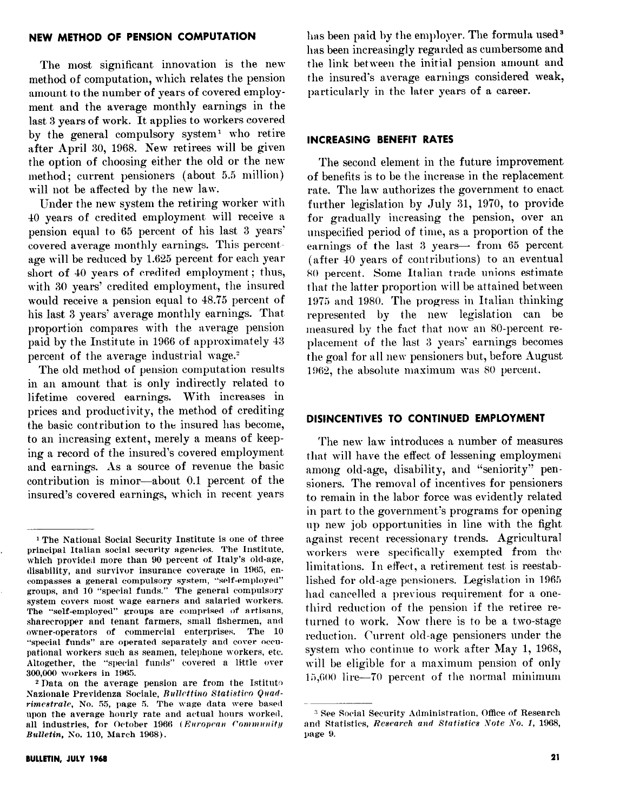#### NEW METHOD OF PENSION COMPUTATION

The most significant innovation is the new method of computation, which relates the pension amount to the number of years of covered employment and the average monthly earnings in the last 3 years of work. It applies to workers covered by the general compulsory system' who retire after April 30, 1968. New retirees will be given the option of choosing either the old or the new method; current pensioners (about 5.5 million) will not be affected by the new law.

Under the new system the retiring worker with 40 years of credited employment will receive a pension equal to 65 percent of his last 3 years' covered average monthly earnings. This percentage will be reduced by 1.625 percent for each year short of 40 years of credited employment; thus, with 30 years' credited employment, the insured would receive a pension equal to 48.75 percent of his last 3 years' average monthly earnings. That proportidn compares with the average pension paid by the Institute in 1966 of approximately 43 percent of the average industrial wage.<sup>2</sup>

The old method of pension computation results in an amount that is only indirectly related to lifetime covered earnings. With increases in prices and productivity, the method of crediting the basic contribution to the insured has become, to an increasing extent, merely a means of keeping a record of the insured's covered employment and earnings. As a source of revenue the basic contribution is minor-about 0.1 percent of the insured's covered earnings, which in recent years has been paid by the employer. The formula used<sup>3</sup> has been increasingly regarded as cumbersome and the link between the initial pension amount and the insured's average earnings considered weak, particularly in the later years of a career.

#### INCREASING BENEFIT RATES

The second element in the future improvement of benefits is to be the increase in the replacement rate. The law authorizes the government to enact further legislation by July 31, 1970, to provide for gradually increasing the pension, over an unspecified period of time, as a proportion of the earnings of the last  $3$  years— from  $65$  percent (after 40 years of contributions) to an eventual X0 percent. Some Italian trade unions estimate that the latter proportion will be attained between 1975 and 1980. The progress in Italian thinking represented by the new legislation can be measured by the fact that now an 80-percent replacement of the last 3 years' earnings becomes the goal for all new pensioners but, before August 1962, the absolute maximum was 80 percent.

### DISINCENTIVES TO CONTINUED EMPLOYMENT

The new law introduces a number of measures that will have the effect of lessening employment among old-age, disability, and "seniority" pensioners. The removal of incentives for pensioners to remain in the labor force was evidently related in part to the government's programs for opening up new job opportunities in line with the fight against recent recessionary trends. Agricultural workers were specifically exempted from the limitations. In effect, a retirement test is reestablished for old-age pensioners. Legislation in 1965 had cancelled a previous requirement for a onethird reduction of the pension if the retiree returned to work. Now there is to be a two-stage reduction. Current old-age pensioners under the system who continue to work after May 1, 1968, will be eligible for a maximum pension of only 15,600 lire-70 percent of the normal minimum

<sup>1</sup> The National Social Security Institute is one of three principal Italian social security agencies. The Institute, which provided more than 90 percent of Italy's old-age, disability, and survivor insurance coverage in 1965, encompasses a general compulsory system, "self-employed" groups, and IO "special funds." The general compulsory system covers most wage earners and salaried workers. The "self-employed" groups are comprised of artisans, sharecropper and tenant farmers, small fishermen, and owner-operators of commercial enterprises. The 16 "special funds" are operated separately and cover occupatianal workers such as seamen, telephone workers, etc. Altogether, the "special funds" covered a little over 300,006 workers in 1965

<sup>&</sup>lt;sup>2</sup> Data on the average pension are from the Istituto Nazionale Previdenza Sociale, Bullettino Statistico Quadrimestrale, No. 55, page 5. The wage data were based upon the average hourly rate and actual hours worked. all industries, for October 1966 (European Community Bulletin, So. 110, March 1968).

<sup>3</sup> See Social Security Administration, Office of Research and Statistics, Research and Statistics Yote No. 1, 1968, page 9.